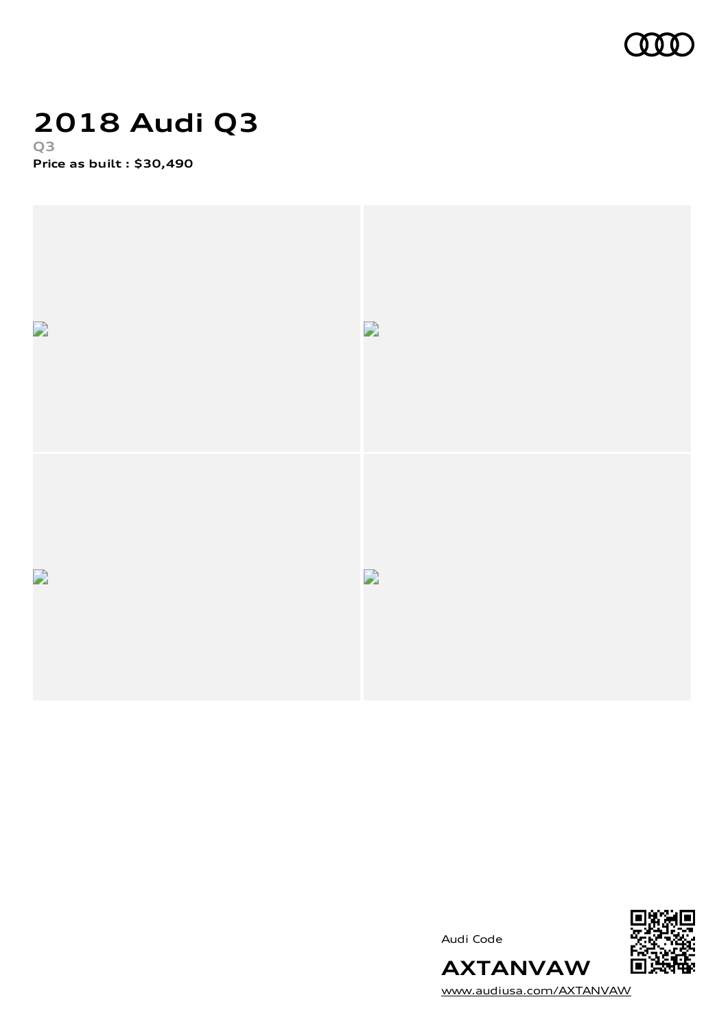

## **2018 Audi Q3 Q3**

**Price as built [:](#page-8-0) \$30,490**







[www.audiusa.com/AXTANVAW](https://www.audiusa.com/AXTANVAW)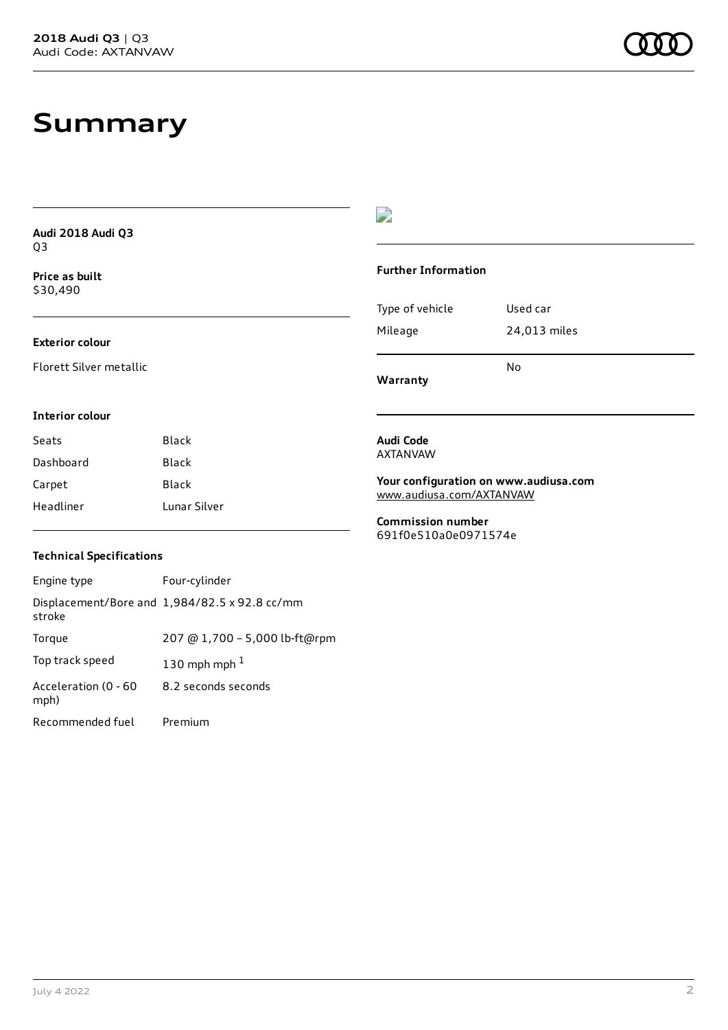## **Summary**

| Audi 2018 Audi Q3<br>Q3<br>Price as built<br>\$30,490 |              | <b>Further Information</b>                                                                 |              |
|-------------------------------------------------------|--------------|--------------------------------------------------------------------------------------------|--------------|
|                                                       |              |                                                                                            |              |
| <b>Exterior colour</b>                                |              | Mileage                                                                                    | 24,013 miles |
| Florett Silver metallic                               |              | Warranty                                                                                   | No           |
| Interior colour                                       |              |                                                                                            |              |
| Seats                                                 | <b>Black</b> | Audi Code<br>AXTANVAW<br>Your configuration on www.audiusa.com<br>www.audiusa.com/AXTANVAW |              |
| Dashboard                                             | <b>Black</b> |                                                                                            |              |
| Carpet                                                | Black        |                                                                                            |              |
| Headliner                                             | Lunar Silver |                                                                                            |              |
|                                                       |              | <b>Commission number</b><br>691f0e510a0e0971574e                                           |              |

## **Technical Specifications**

| Engine type                  | Four-cylinder                                 |
|------------------------------|-----------------------------------------------|
| stroke                       | Displacement/Bore and 1,984/82.5 x 92.8 cc/mm |
| Torque                       | 207 @ 1,700 - 5,000 lb-ft@rpm                 |
| Top track speed              | 130 mph mph $1$                               |
| Acceleration (0 - 60<br>mph) | 8.2 seconds seconds                           |
| Recommended fuel             | Premium                                       |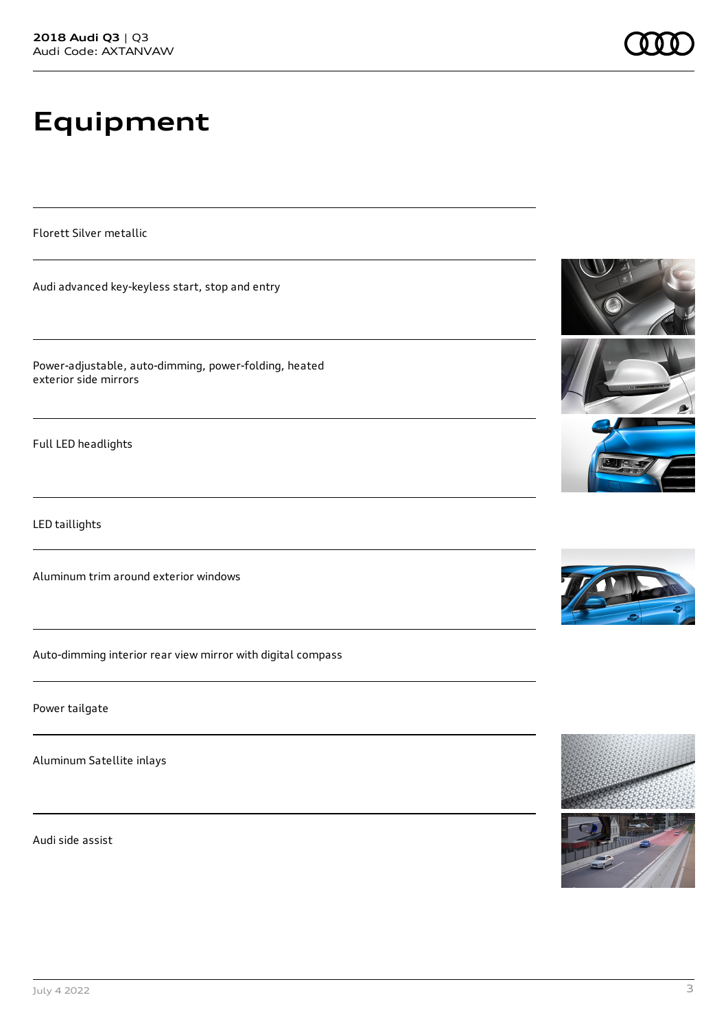# **Equipment**

Florett Silver metallic

Audi advanced key-keyless start, stop and entry

Power-adjustable, auto-dimming, power-folding, heated exterior side mirrors

Full LED headlights

LED taillights

Aluminum trim around exterior windows

Auto-dimming interior rear view mirror with digital compass

Power tailgate

Aluminum Satellite inlays

Audi side assist





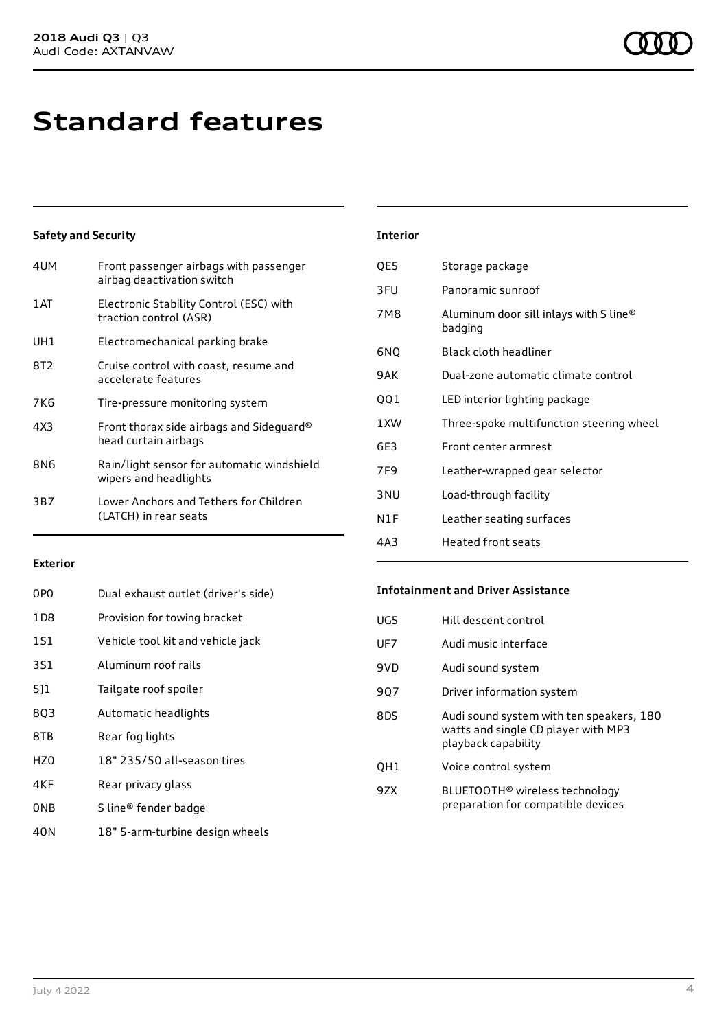## **Standard features**

## **Safety and Security**

| Front passenger airbags with passenger<br>airbag deactivation switch |
|----------------------------------------------------------------------|
| Electronic Stability Control (ESC) with<br>traction control (ASR)    |
| Electromechanical parking brake                                      |
| Cruise control with coast, resume and<br>accelerate features         |
| Tire-pressure monitoring system                                      |
| Front thorax side airbags and Sideguard®<br>head curtain airbags     |
| Rain/light sensor for automatic windshield<br>wipers and headlights  |
| Lower Anchors and Tethers for Children<br>(LATCH) in rear seats      |
|                                                                      |

| <b>Interior</b> |                                                   |
|-----------------|---------------------------------------------------|
| QE5             | Storage package                                   |
| 3FU             | Panoramic sunroof                                 |
| 7M8             | Aluminum door sill inlays with S line®<br>badging |
| 6NQ             | Black cloth headliner                             |
| 9AK             | Dual-zone automatic climate control               |
| QQ1             | LED interior lighting package                     |
| 1 XW            | Three-spoke multifunction steering wheel          |
| 6E3             | Front center armrest                              |
| 7F9             | Leather-wrapped gear selector                     |
| 3 <sub>NU</sub> | Load-through facility                             |
| N1F             | Leather seating surfaces                          |
| 4A3             | <b>Heated front seats</b>                         |

### **Exterior**

| 0P <sub>0</sub> | Dual exhaust outlet (driver's side) |
|-----------------|-------------------------------------|
| 1D <sub>8</sub> | Provision for towing bracket        |
| 1S1             | Vehicle tool kit and vehicle jack   |
| 3S1             | Aluminum roof rails                 |
| 511             | Tailgate roof spoiler               |
| 8Q3             | Automatic headlights                |
| 8TB             | Rear fog lights                     |
| HZ <sub>0</sub> | 18" 235/50 all-season tires         |
| 4KF             | Rear privacy glass                  |
| 0 <sub>NB</sub> | S line® fender badge                |
| 40N             | 18" 5-arm-turbine design wheels     |

### **Infotainment and Driver Assistance**

| UG5 | Hill descent control                                                                                   |
|-----|--------------------------------------------------------------------------------------------------------|
| UF7 | Audi music interface                                                                                   |
| 9VD | Audi sound system                                                                                      |
| 907 | Driver information system                                                                              |
| 8DS | Audi sound system with ten speakers, 180<br>watts and single CD player with MP3<br>playback capability |
| OH1 | Voice control system                                                                                   |
| 97X | BLUETOOTH <sup>®</sup> wireless technology<br>preparation for compatible devices                       |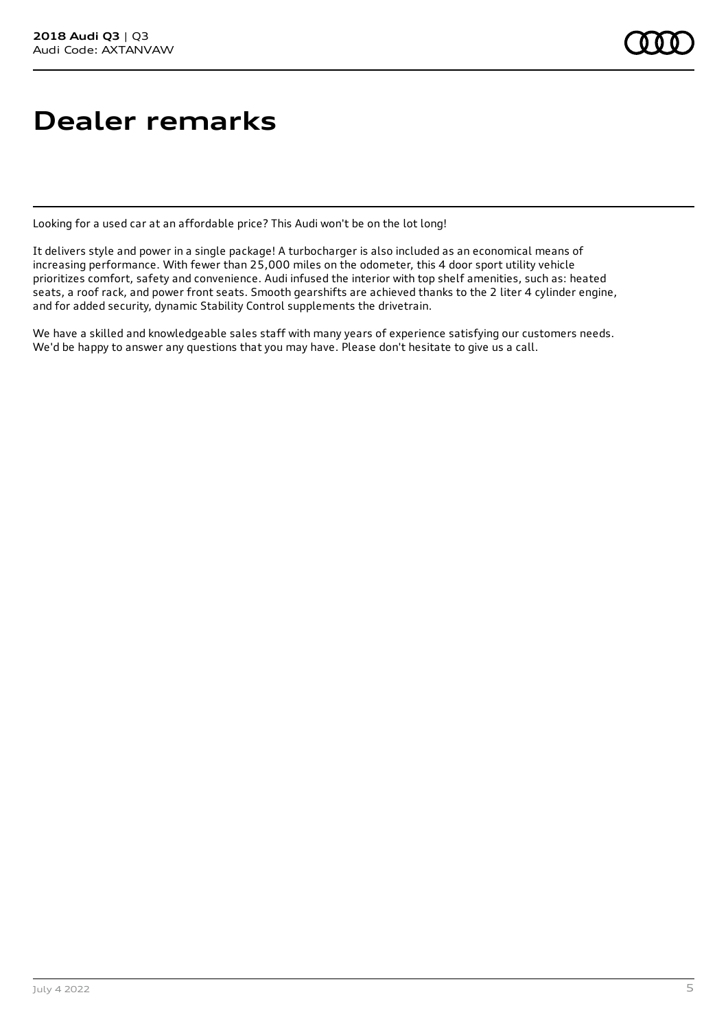## **Dealer remarks**

Looking for a used car at an affordable price? This Audi won't be on the lot long!

It delivers style and power in a single package! A turbocharger is also included as an economical means of increasing performance. With fewer than 25,000 miles on the odometer, this 4 door sport utility vehicle prioritizes comfort, safety and convenience. Audi infused the interior with top shelf amenities, such as: heated seats, a roof rack, and power front seats. Smooth gearshifts are achieved thanks to the 2 liter 4 cylinder engine, and for added security, dynamic Stability Control supplements the drivetrain.

We have a skilled and knowledgeable sales staff with many years of experience satisfying our customers needs. We'd be happy to answer any questions that you may have. Please don't hesitate to give us a call.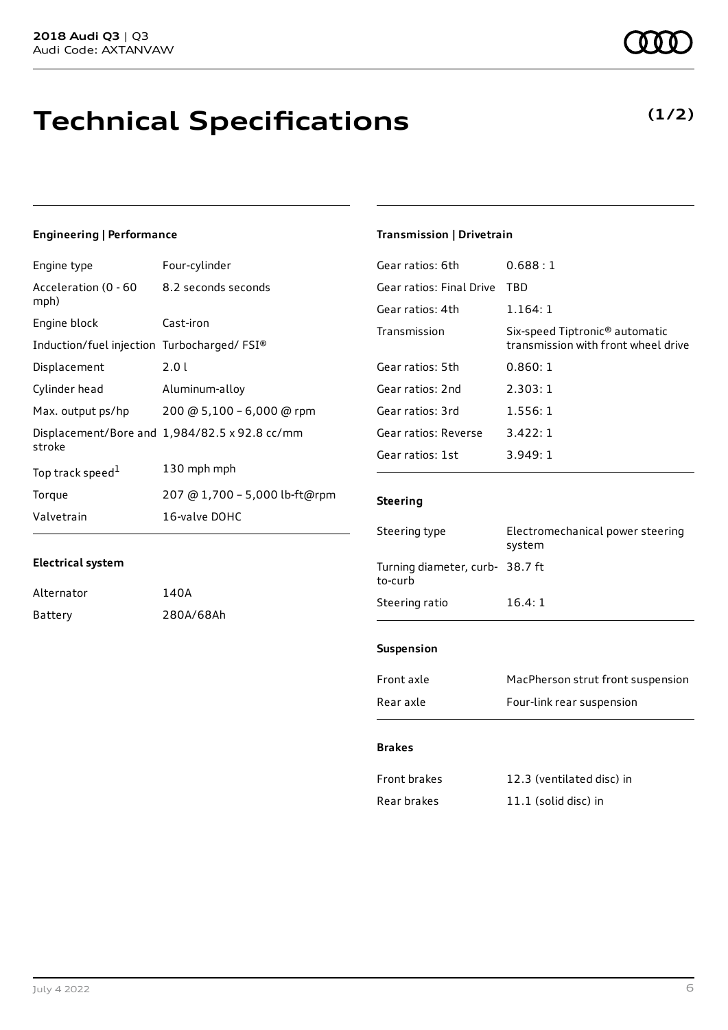# **Technical Specifications**

## **Engineering | Performance**

| Engine type                                | Four-cylinder                                 |
|--------------------------------------------|-----------------------------------------------|
| Acceleration (0 - 60<br>mph)               | 8.2 seconds seconds                           |
| Engine block                               | Cast-iron                                     |
| Induction/fuel injection Turbocharged/FSI® |                                               |
| Displacement                               | 2.0 L                                         |
| Cylinder head                              | Aluminum-alloy                                |
| Max. output ps/hp                          | 200 @ 5,100 - 6,000 @ rpm                     |
| stroke                                     | Displacement/Bore and 1,984/82.5 x 92.8 cc/mm |
| Top track speed <sup>1</sup>               | 130 mph mph                                   |
| Torque                                     | 207 @ 1,700 - 5,000 lb-ft@rpm                 |
| Valvetrain                                 | 16-valve DOHC                                 |

## **Electrical system**

| Alternator | 140A      |
|------------|-----------|
| Battery    | 280A/68Ah |

## **Transmission | Drivetrain**

| Gear ratios: 6th         | 0.688:1                                                                           |
|--------------------------|-----------------------------------------------------------------------------------|
| Gear ratios: Final Drive | TBD                                                                               |
| Gear ratios: 4th         | 1.164:1                                                                           |
| Transmission             | Six-speed Tiptronic <sup>®</sup> automatic<br>transmission with front wheel drive |
| Gear ratios: 5th         | 0.860:1                                                                           |
| Gear ratios: 2nd         | 2.303:1                                                                           |
| Gear ratios: 3rd         | 1.556:1                                                                           |
| Gear ratios: Reverse     | 3.422:1                                                                           |
| Gear ratios: 1st         | 3.949:1                                                                           |

## **Steering**

| Steering type                              | Electromechanical power steering<br>system |
|--------------------------------------------|--------------------------------------------|
| Turning diameter, curb- 38.7 ft<br>to-curb |                                            |
| Steering ratio                             | 16.4:1                                     |
|                                            |                                            |

## **Suspension**

| Front axle | MacPherson strut front suspension |
|------------|-----------------------------------|
| Rear axle  | Four-link rear suspension         |

### **Brakes**

| Front brakes | 12.3 (ventilated disc) in |
|--------------|---------------------------|
| Rear brakes  | 11.1 (solid disc) in      |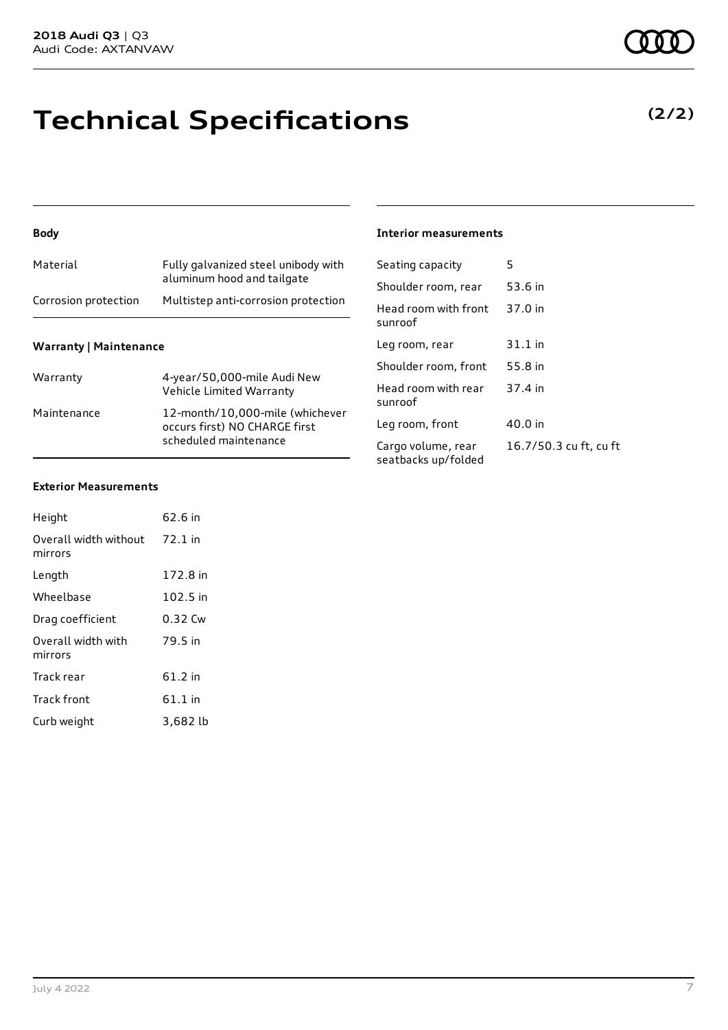# **Technical Specifications**

### **Body**

| Material             | Fully galvanized steel unibody with<br>aluminum hood and tailgate |
|----------------------|-------------------------------------------------------------------|
| Corrosion protection | Multistep anti-corrosion protection                               |
|                      |                                                                   |

### **Warranty | Maintenance**

| Warranty    | 4-year/50,000-mile Audi New<br>Vehicle Limited Warranty                                   |
|-------------|-------------------------------------------------------------------------------------------|
| Maintenance | 12-month/10.000-mile (whichever<br>occurs first) NO CHARGE first<br>scheduled maintenance |

## **Interior measurements**

| Seating capacity                          | 5                      |
|-------------------------------------------|------------------------|
| Shoulder room, rear                       | 53.6 in                |
| Head room with front<br>sunroof           | 37.0 in                |
| Leg room, rear                            | 31.1 in                |
| Shoulder room, front                      | 55.8 in                |
| Head room with rear<br>sunroof            | 37.4 in                |
| Leg room, front                           | 40.0 in                |
| Cargo volume, rear<br>seatbacks up/folded | 16.7/50.3 cu ft, cu ft |

#### **Exterior Measurements**

| Height                           | 62.6 in   |
|----------------------------------|-----------|
| Overall width without<br>mirrors | $72.1$ in |
| Length                           | 172.8 in  |
| Wheelbase                        | 102.5 in  |
| Drag coefficient                 | 0.32 Cw   |
| Overall width with<br>mirrors    | 79.5 in   |
| Track rear                       | 61.2 in   |
| Track front                      | $61.1$ in |
| Curb weight                      | 3,682 lb  |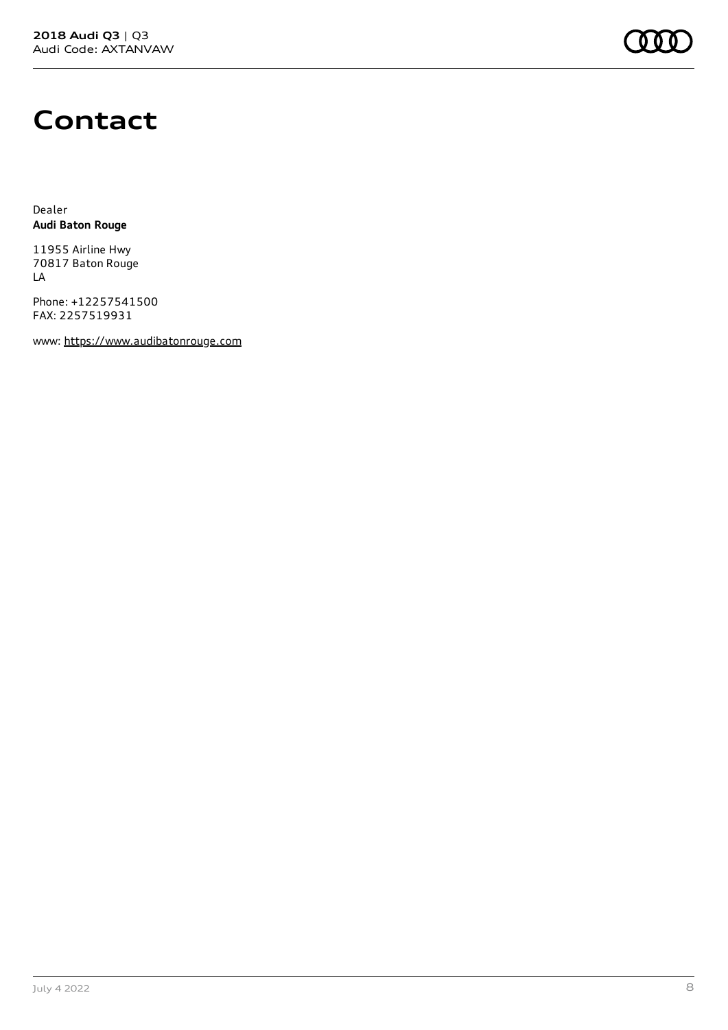## **Contact**

Dealer **Audi Baton Rouge**

11955 Airline Hwy 70817 Baton Rouge LA

Phone: +12257541500 FAX: 2257519931

www: [https://www.audibatonrouge.com](https://www.audibatonrouge.com/)